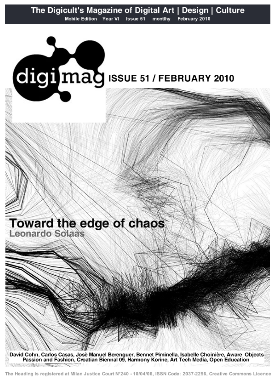

The Heading is registered at Milan Justice Court N°240 - 10/04/06, ISSN Code: 2037-2256, Creative Commons Licence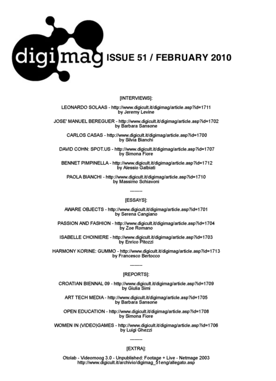

## [INTERVIEWS]:

LEONARDO SOLAAS - http://www.digicult.it/digimag/article.asp?id=1711 by Jeremy Levine

JOSE' MANUEL BEREGUER - http://www.digicult.it/digimag/article.asp?id=1702 by Barbara Sansone

CARLOS CASAS - http://www.digicult.it/digimag/article.asp?id=1700 by Silvia Bianchi

DAVID COHN: SPOT.US - http://www.digicult.it/digimag/article.asp?id=1707 by Simona Fiore

BENNET PIMPINELLA - http://www.digicult.it/digimag/article.asp?id=1712 by Alessio Galbiati

PAOLA BIANCHI - http://www.digicult.it/digimag/article.asp?id=1710 by Massimo Schiavoni

#### [ESSAYS]:

AWARE OBJECTS - http://www.digicult.it/digimag/article.asp?id=1701 by Serena Cangiano

PASSION AND FASHION - http://www.digicult.it/digimag/article.asp?id=1704 by Zoe Romano

ISABELLE CHOINIERE - http://www.digicult.it/digimag/article.asp?id=1703 by Enrico Pitozzi

HARMONY KORINE: GUMMO - http://www.digicult.it/digimag/article.asp?id=1713 by Francesco Bertocco

## [REPORTS]:

CROATIAN BIENNAL 09 - http://www.digicult.it/digimag/article.asp?id=1709 by Giulia Simi

ART TECH MEDIA - http://www.digicult.it/digimag/article.asp?id=1705 by Barbara Sansone

OPEN EDUCATION - http://www.digicult.it/digimag/article.asp?id=1708 by Simona Fiore

WOMEN IN (VIDEO)GAMES - http://www.digicult.it/digimag/article.asp?id=1706 by Luigi Ghezzi

## [EXTRA]:

Otolab - Videomoog 3.0 - Unpublished: Footage + Live - Netmage 2003 http://www.digicult.it/archivio/digimag\_51eng/allegato.asp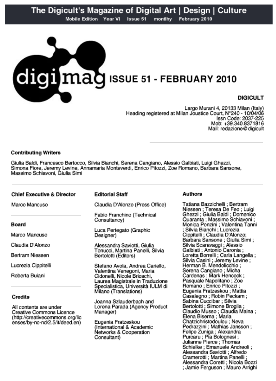

Largo Murani 4, 20133 Milan (Italy) Heading registered at Milan Joustice Court, N°240 - 10/04/06 Issn Code: 2037-225 Mob: +39.340.8371816 Mail: redazione@digicult

# **Contributing Writers**

Giulia Baldi, Francesco Bertocco, Silvia Bianchi, Serena Cangiano, Alessio Galbiati, Luigi Ghezzi, Simona Fiore, Jeremy Levine, Annamaria Monteverdi, Enrico Pitozzi, Zoe Romano, Barbara Sansone, Massimo Schiavoni, Giulia Simi

## **Chief Executive & Director**

Marco Mancuso

Board

Marco Mancuso

Claudia D'Alonzo

Bertram Niessen

Lucrezia Cippitelli

Roberta Buiani

## Credits

All contents are under Creative Commons Licence (http://creativecommons.org/lic enses/by-nc-nd/2.5/it/deed.en)

#### **Editorial Staff**

Claudia D'Alonzo (Press Office)

Fabio Franchino (Technical Consultancy)

Luca Pertegato (Graphic Designer)

Alessandra Saviotti, Giulia Tonucci, Martina Panelli, Silvia Bertolotti (Editors)

Stefano Avola, Andrea Cariello, Valentina Venegoni, Maria Cidonelli, Nicole Brioschi, Laurea Magistrale in Traduzione Specialistica, Università IULM di Milano (Translations)

Joanna Szlauderbach and Lorena Parada (Agency Product Manager)

Eugenia Fratzeskou (International & Academic Networks & Cooperation Consultant)

## **Authors**

Tatiana Bazzichelli; Bertram Niessen ; Teresa De Feo ; Luigi Ghezzi ; Giulia Baldi ; Domenico Quaranta ; Massimo Schiavoni ; Monica Ponzini ; Valentina Tanni<br>; Silvia Bianchi ; Lucrezia Cippitelli ; Claudia D'Alonzo; Barbara Sansone ; Giulia Simi ; Silvia Scaravaggi ; Alessio Galbiati : Antonio Caronia : Loretta Borrelli : Carla Langella : Silvia Casini ; Jeremy Levine ; Herman B. Mendolicchio: Serena Cangiano; Micha Cardenas : Mark Hencock : Pasquale Napolitano ; Zoe Romano ; Enrico Pitozzi : Eugenia Fratzeskou ; Mattia Casalegno ; Robin Peckam ; Sabina Cuccibar ; Silvia Bertolotti ; Simone Broglia ; Claudio Musso ; Claudía Maina ; Elena Biserna : Maria Chatzichristodoulou ; Neva Pedrazzini ; Mathias Jansson ; Felipe Zuniga ; Alexandra Purcaru ; Pía Bolognesi ;<br>Julianne Pierce ; Thomas Schielke ; Emanuele Andreoli ; Alessandra Saviotti ; Alfredo Cramerotti ; Martina Panelli ; Alessandra Coretti ; Nicola Bozzi ; Jamie Ferguson ; Mauro Arrighi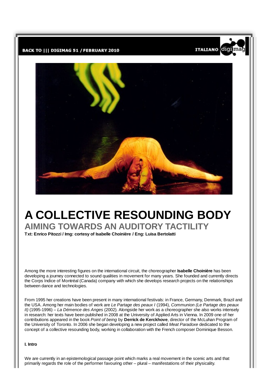



**ITALIANO** 

'di

# A COLLECTIVE RESOUNDING BODY

AIMING TOWARDS AN AUDITORY TACTILITY

Txt: Enrico Pitozzi / Img: cortesy of Isabelle Choinière / Eng: Luisa Bertolatti

Among the more interesting figures on the international circuit, the choreographer **Isabelle Choinière** has been developing a journey connected to sound qualities in movement for many years. She founded and currently directs the Corps Indice of Montréal (Canada) company with which she develops research projects on the relationships between dance and technologies.

From 1995 her creations have been present in many international festivals: in France, Germany, Denmark, Brazil and the USA. Among her main bodies of work are Le Partage des peaux I (1994), Communion (Le Partage des peaux (1) (1995-1996) – La Démence des Anges (2002). Alongside her work as a choreographer she also works intensely in research: her texts have been published in 2008 at the University of Applied Arts in Vienna. In 2009 one of her contributions appeared in the book Point of being by Derrick de Kerckhove, director of the McLuhan Program of the University of Toronto. In 2006 she began developing a new project called Meat Paradoxe dedicated to the concept of a collective resounding body, working in collaboration with the French composer Dominique Besson.

## I. Intro

We are currently in an epistemological passage point which marks a real movement in the scenic arts and that primarily regards the role of the performer fayouring other – plural – manifestations of their physicality.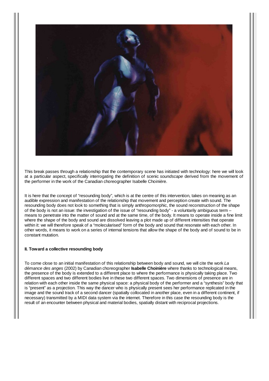

This break passes through a relationship that the contemporary scene has initiated with technology; here we will look at a particular aspect, specifically interrogating the definition of scenic soundscape derived from the movement of the performer in the work of the Canadian choreographer Isabelle Choinière.

It is here that the concept of "resounding body", which is at the centre of this intervention, takes on meaning as an audible expression and manifestation of the relationship that movement and perception create with sound. The resounding body does not look to something that is simply anthropomorphic, the sound reconstruction of the shape of the body is not an issue: the investigation of the issue of "resounding body" - a voluntarily ambiguous term means to penetrate into the matter of sound and at the same time, of the body. It means to operate inside a fine limit where the shape of the body and sound are dissolved leaving a plot made up of different intensities that operate within it: we will therefore speak of a "molecularised" form of the body and sound that resonate with each other. In other words, it means to work on a series of internal tensions that allow the shape of the body and of sound to be in constant mutation.

#### II. Toward a collective resounding body

To come close to an initial manifestation of this relationship between body and sound, we will cite the work La démance des anges (2002) by Canadian choreographer **Isabelle Choinière** where thanks to technological means, the presence of the body is extended to a different place to where the performance is physically taking place. Two different spaces and two different bodies live in these two different spaces. Two dimensions of presence are in relation with each other inside the same physical space: a physical body of the performer and a "synthesis" body that is "present" as a projection. This way the dancer who is physically present sees her performance replicated in the image and the sound track of a second dancer (spatially collocated in another place, even in a different continent, if necessary) transmitted by a MIDI data system via the internet. Therefore in this case the resounding body is the result of an encounter between physical and material bodies, spatially distant with reciprocal projections.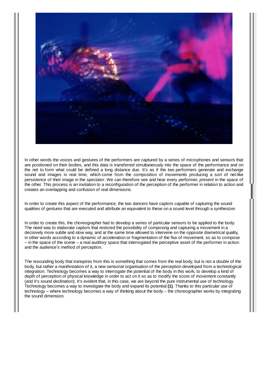

In other words the voices and gestures of the performers are captured by a series of microphones and sensors that are positioned on their bodies, and this data is transferred simultaneously into the space of the performance and on the net to form what could be defined a long distance duo. It's as if the two performers generate and exchange sound and images in real time, which come from the composition of movements producing a sort of net-like persistence of their image in the spectator. We can therefore see and hear every performer, present in the space of the other. This process is an invitation to a reconfiguration of the perception of the performer in relation to action and creates an overlapping and confusion of real dimensions.

In order to create this aspect of the performance, the two dancers have captors capable of capturing the sound qualities of gestures that are executed and attribute an equivalent to these on a sound level through a synthesizer.

In order to create this, the choreographer had to develop a series of particular sensors to be applied to the body. The need was to elaborate captors that restored the possibility of composing and capturing a movement in a decisively more subtle and slow way, and at the same time allowed to intervene on the opposite diametrical quality, in other words according to a dynamic of acceleration or fragmentation of the flux of movement, so as to compose  $-$  in the space of the scene  $-$  a real *auditory space* that interrogated the perceptive asset of the performer in action and the audience's method of perception.

The resounding body that transpires from this is something that comes from the real body, but is not a *double* of the body, but rather a manifestation of it, a new sensorial organisation of the perception developed from a technological integration. Technology becomes a way to interrogate the potential of the body in this work, to develop a kind of depth of perception of physical knowledge in order to act on it so as to modify the score of movement constantly (and it's sound declination). It's evident that, in this case, we are beyond the pure instrumental use of technology. Technology becomes a way to investigate the body and expand its potential (1). Thanks to this particular use of technology – where technology becomes a way of thinking about the body – the choreographer works by integrating the sound dimension.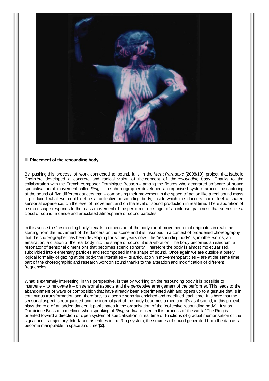

#### III. Placement of the resounding body

By pushing this process of work connected to sound, it is in the Meat Paradoxe (2008/10) project that Isabelle Choinière developed a concrete and radical vision of the concept of the resounding body. Thanks to the collaboration with the French composer Dominique Besson – among the figures who generated software of sound specialisation of movement called  $Ring -$  the choreographer developed an organised system around the capturing of the sound of five different dancers that – composing their movement in the space of action like a real sound mass - produced what we could define a collective resounding body, inside which the dancers could feel a shared sensorial experience, on the level of movement and on the level of sound production in real time. The elaboration of a soundscape responds to the mass-movement of the performer on stage, of an intense graininess that seems like a cloud of sound, a dense and articulated atmosphere of sound particles.

In this sense the "resounding body" recalls a dimension of the body (or of movement) that originates in real time starting from the movement of the dancers on the scene and it is inscribed in a context of broadened choreography that the choreographer has been developing for some years now. The "resounding body" is, in other words, an emanation, a dilation of the real body into the shape of sound; it is a vibration. The body becomes an eardrum, a resonator of sensorial dimensions that becomes scenic sonority. Therefore the body is almost molecularised, subdivided into elementary particles and recomposed in the shape of sound. Once again we are outside a purely logical formality of gazing at the body; the intensities  $-$  its articulation in movement-particles  $-$  are at the same time part of the choreographic and research work on sound thanks to the alteration and modification of different frequencies.

What is extremely interesting, in this perspective, is that by working on the resounding body it is possible to intervene – to renovate it – on sensorial aspects and the perceptive arrangement of the performer. This leads to the abandonment of ways of composition that have already been experimented with and opens up to a gesture that is in continuous transformation and, therefore, to a scenic sonority enriched and redefined each time. It is here that the sensorial aspect is reorganised and the internal part of the body becomes a medium. It's as if sound, in this project, plays the role of an added dancer: it participates in the organisation of the "collective resounding body". Just as Dominique Besson underlined when speaking of Ring software used in this process of the work: "The Ring is oriented toward a direction of open system of specialisation in real time of functions of gradual memorisation of the signal and its trajectory. Interfaced as entries in the Ring system, the sources of sound generated from the dancers become manipulable in space and time"(2).